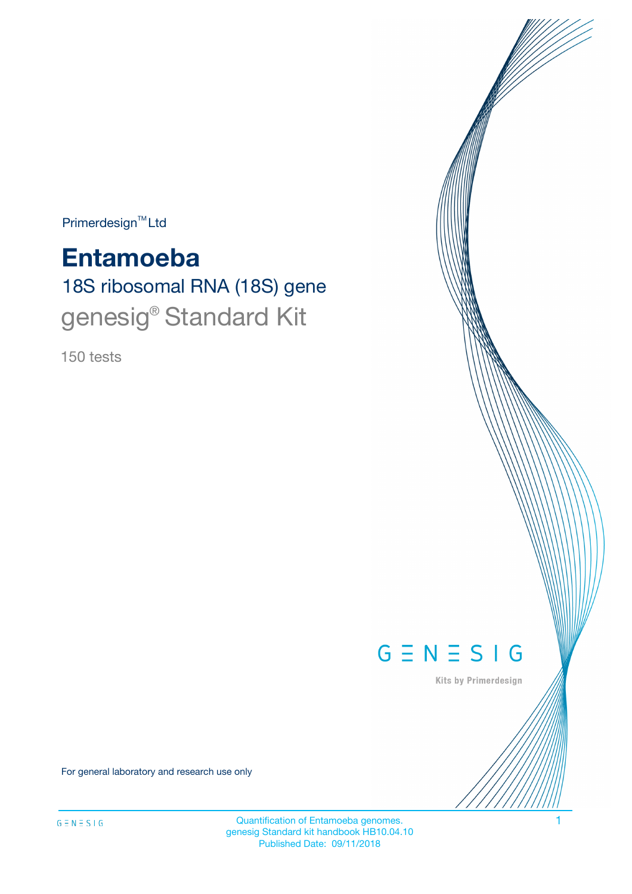$Primerdesign^{\text{TM}}Ltd$ 

# **Entamoeba**

18S ribosomal RNA (18S) gene genesig<sup>®</sup> Standard Kit

150 tests



Kits by Primerdesign

For general laboratory and research use only

Quantification of Entamoeba genomes. 1 genesig Standard kit handbook HB10.04.10 Published Date: 09/11/2018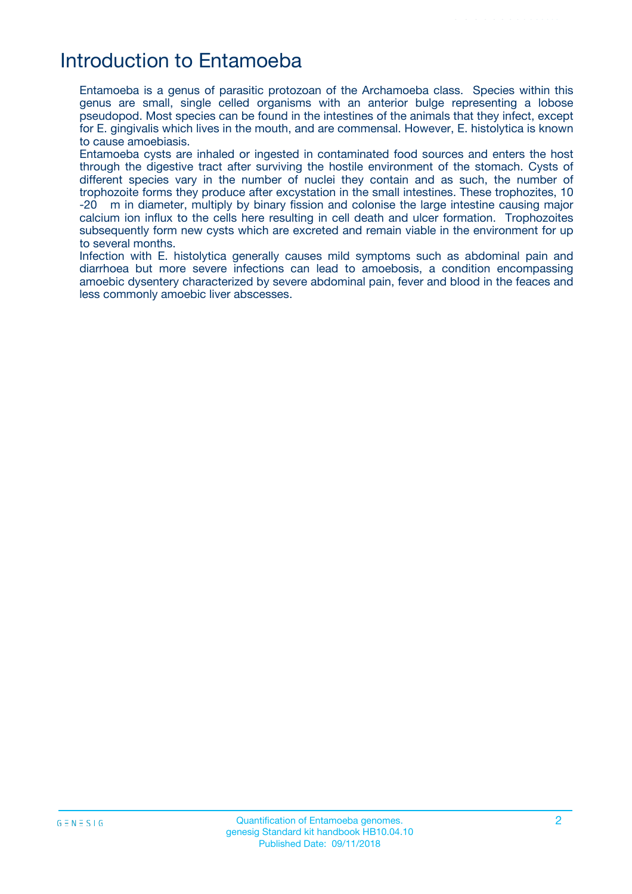### Introduction to Entamoeba

Entamoeba is a genus of parasitic protozoan of the Archamoeba class. Species within this genus are small, single celled organisms with an anterior bulge representing a lobose pseudopod. Most species can be found in the intestines of the animals that they infect, except for E. gingivalis which lives in the mouth, and are commensal. However, E. histolytica is known to cause amoebiasis.

Entamoeba cysts are inhaled or ingested in contaminated food sources and enters the host through the digestive tract after surviving the hostile environment of the stomach. Cysts of different species vary in the number of nuclei they contain and as such, the number of trophozoite forms they produce after excystation in the small intestines. These trophozites, 10 -20 m in diameter, multiply by binary fission and colonise the large intestine causing major calcium ion influx to the cells here resulting in cell death and ulcer formation. Trophozoites subsequently form new cysts which are excreted and remain viable in the environment for up to several months.

Infection with E. histolytica generally causes mild symptoms such as abdominal pain and diarrhoea but more severe infections can lead to amoebosis, a condition encompassing amoebic dysentery characterized by severe abdominal pain, fever and blood in the feaces and less commonly amoebic liver abscesses.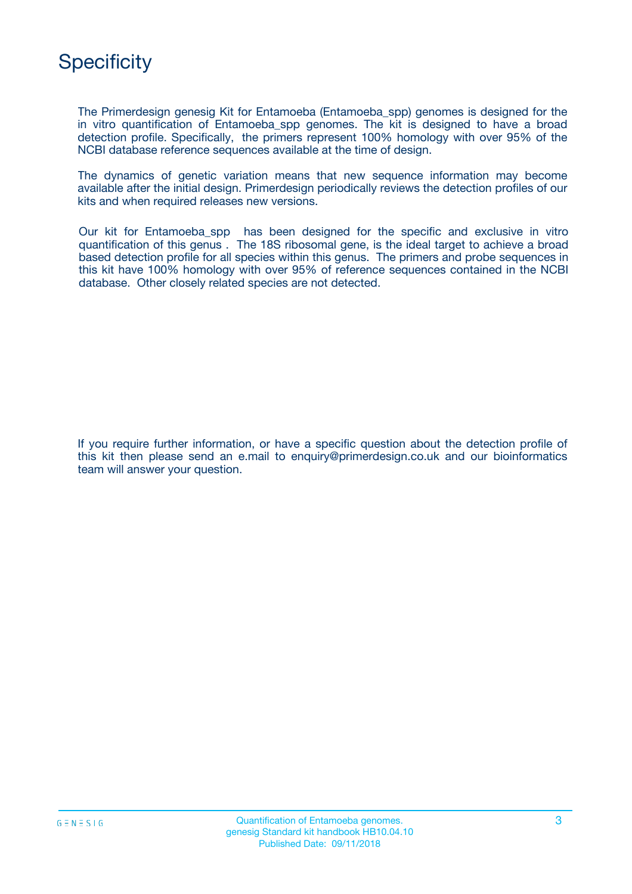

The Primerdesign genesig Kit for Entamoeba (Entamoeba\_spp) genomes is designed for the in vitro quantification of Entamoeba\_spp genomes. The kit is designed to have a broad detection profile. Specifically, the primers represent 100% homology with over 95% of the NCBI database reference sequences available at the time of design.

The dynamics of genetic variation means that new sequence information may become available after the initial design. Primerdesign periodically reviews the detection profiles of our kits and when required releases new versions.

Our kit for Entamoeba\_spp has been designed for the specific and exclusive in vitro quantification of this genus . The 18S ribosomal gene, is the ideal target to achieve a broad based detection profile for all species within this genus. The primers and probe sequences in this kit have 100% homology with over 95% of reference sequences contained in the NCBI database. Other closely related species are not detected.

If you require further information, or have a specific question about the detection profile of this kit then please send an e.mail to enquiry@primerdesign.co.uk and our bioinformatics team will answer your question.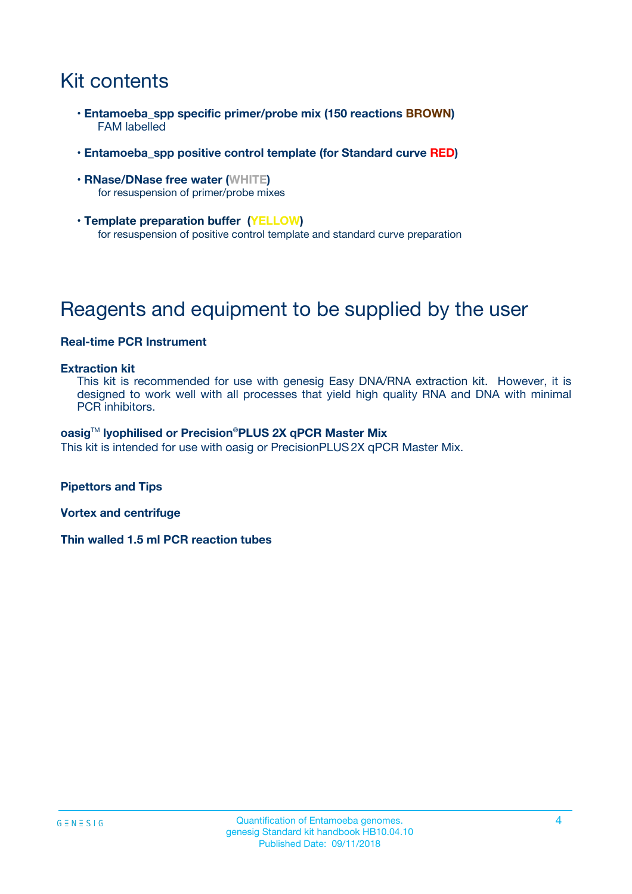# Kit contents

- **Entamoeba\_spp specific primer/probe mix (150 reactions BROWN)** FAM labelled
- **Entamoeba\_spp positive control template (for Standard curve RED)**
- **RNase/DNase free water (WHITE)** for resuspension of primer/probe mixes
- **Template preparation buffer (YELLOW)** for resuspension of positive control template and standard curve preparation

# Reagents and equipment to be supplied by the user

### **Real-time PCR Instrument**

#### **Extraction kit**

This kit is recommended for use with genesig Easy DNA/RNA extraction kit. However, it is designed to work well with all processes that yield high quality RNA and DNA with minimal PCR inhibitors.

#### **oasig**TM **lyophilised or Precision**®**PLUS 2X qPCR Master Mix**

This kit is intended for use with oasig or PrecisionPLUS2X qPCR Master Mix.

**Pipettors and Tips**

**Vortex and centrifuge**

**Thin walled 1.5 ml PCR reaction tubes**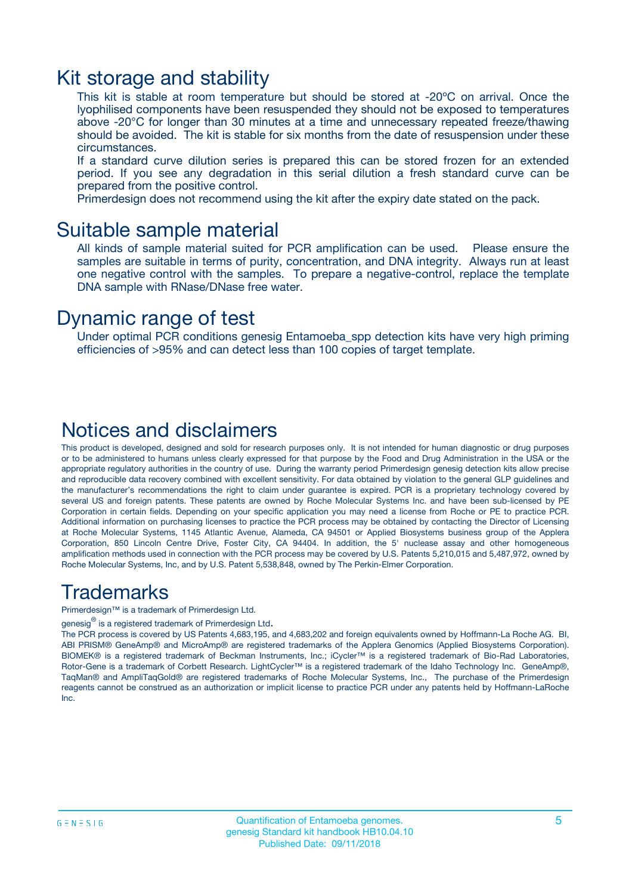### Kit storage and stability

This kit is stable at room temperature but should be stored at -20ºC on arrival. Once the lyophilised components have been resuspended they should not be exposed to temperatures above -20°C for longer than 30 minutes at a time and unnecessary repeated freeze/thawing should be avoided. The kit is stable for six months from the date of resuspension under these circumstances.

If a standard curve dilution series is prepared this can be stored frozen for an extended period. If you see any degradation in this serial dilution a fresh standard curve can be prepared from the positive control.

Primerdesign does not recommend using the kit after the expiry date stated on the pack.

### Suitable sample material

All kinds of sample material suited for PCR amplification can be used. Please ensure the samples are suitable in terms of purity, concentration, and DNA integrity. Always run at least one negative control with the samples. To prepare a negative-control, replace the template DNA sample with RNase/DNase free water.

### Dynamic range of test

Under optimal PCR conditions genesig Entamoeba\_spp detection kits have very high priming efficiencies of >95% and can detect less than 100 copies of target template.

### Notices and disclaimers

This product is developed, designed and sold for research purposes only. It is not intended for human diagnostic or drug purposes or to be administered to humans unless clearly expressed for that purpose by the Food and Drug Administration in the USA or the appropriate regulatory authorities in the country of use. During the warranty period Primerdesign genesig detection kits allow precise and reproducible data recovery combined with excellent sensitivity. For data obtained by violation to the general GLP guidelines and the manufacturer's recommendations the right to claim under guarantee is expired. PCR is a proprietary technology covered by several US and foreign patents. These patents are owned by Roche Molecular Systems Inc. and have been sub-licensed by PE Corporation in certain fields. Depending on your specific application you may need a license from Roche or PE to practice PCR. Additional information on purchasing licenses to practice the PCR process may be obtained by contacting the Director of Licensing at Roche Molecular Systems, 1145 Atlantic Avenue, Alameda, CA 94501 or Applied Biosystems business group of the Applera Corporation, 850 Lincoln Centre Drive, Foster City, CA 94404. In addition, the 5' nuclease assay and other homogeneous amplification methods used in connection with the PCR process may be covered by U.S. Patents 5,210,015 and 5,487,972, owned by Roche Molecular Systems, Inc, and by U.S. Patent 5,538,848, owned by The Perkin-Elmer Corporation.

### Trademarks

Primerdesign™ is a trademark of Primerdesign Ltd.

genesig $^\circledR$  is a registered trademark of Primerdesign Ltd.

The PCR process is covered by US Patents 4,683,195, and 4,683,202 and foreign equivalents owned by Hoffmann-La Roche AG. BI, ABI PRISM® GeneAmp® and MicroAmp® are registered trademarks of the Applera Genomics (Applied Biosystems Corporation). BIOMEK® is a registered trademark of Beckman Instruments, Inc.; iCycler™ is a registered trademark of Bio-Rad Laboratories, Rotor-Gene is a trademark of Corbett Research. LightCycler™ is a registered trademark of the Idaho Technology Inc. GeneAmp®, TaqMan® and AmpliTaqGold® are registered trademarks of Roche Molecular Systems, Inc., The purchase of the Primerdesign reagents cannot be construed as an authorization or implicit license to practice PCR under any patents held by Hoffmann-LaRoche Inc.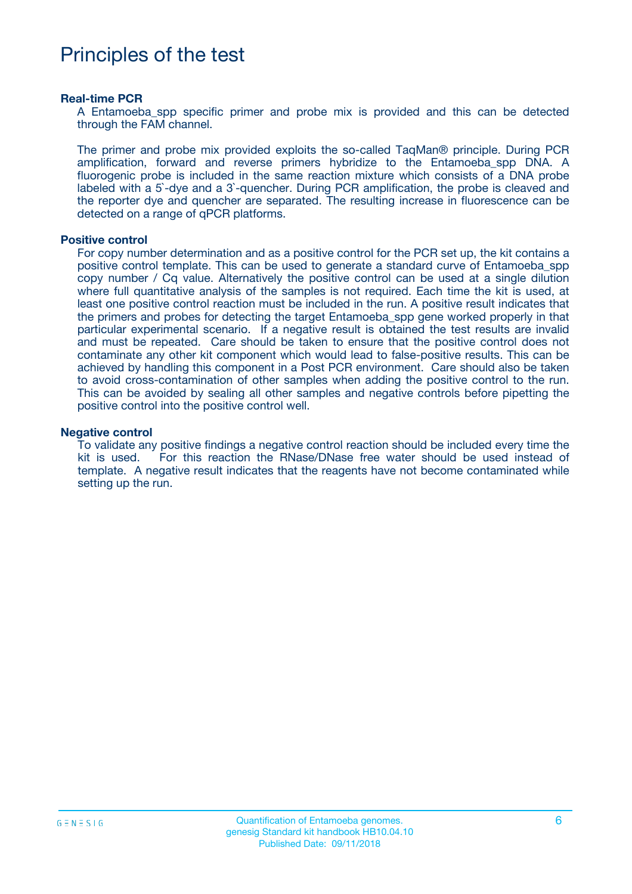# Principles of the test

#### **Real-time PCR**

A Entamoeba spp specific primer and probe mix is provided and this can be detected through the FAM channel.

The primer and probe mix provided exploits the so-called TaqMan® principle. During PCR amplification, forward and reverse primers hybridize to the Entamoeba\_spp DNA. A fluorogenic probe is included in the same reaction mixture which consists of a DNA probe labeled with a 5`-dye and a 3`-quencher. During PCR amplification, the probe is cleaved and the reporter dye and quencher are separated. The resulting increase in fluorescence can be detected on a range of qPCR platforms.

#### **Positive control**

For copy number determination and as a positive control for the PCR set up, the kit contains a positive control template. This can be used to generate a standard curve of Entamoeba\_spp copy number / Cq value. Alternatively the positive control can be used at a single dilution where full quantitative analysis of the samples is not required. Each time the kit is used, at least one positive control reaction must be included in the run. A positive result indicates that the primers and probes for detecting the target Entamoeba\_spp gene worked properly in that particular experimental scenario. If a negative result is obtained the test results are invalid and must be repeated. Care should be taken to ensure that the positive control does not contaminate any other kit component which would lead to false-positive results. This can be achieved by handling this component in a Post PCR environment. Care should also be taken to avoid cross-contamination of other samples when adding the positive control to the run. This can be avoided by sealing all other samples and negative controls before pipetting the positive control into the positive control well.

#### **Negative control**

To validate any positive findings a negative control reaction should be included every time the kit is used. For this reaction the RNase/DNase free water should be used instead of template. A negative result indicates that the reagents have not become contaminated while setting up the run.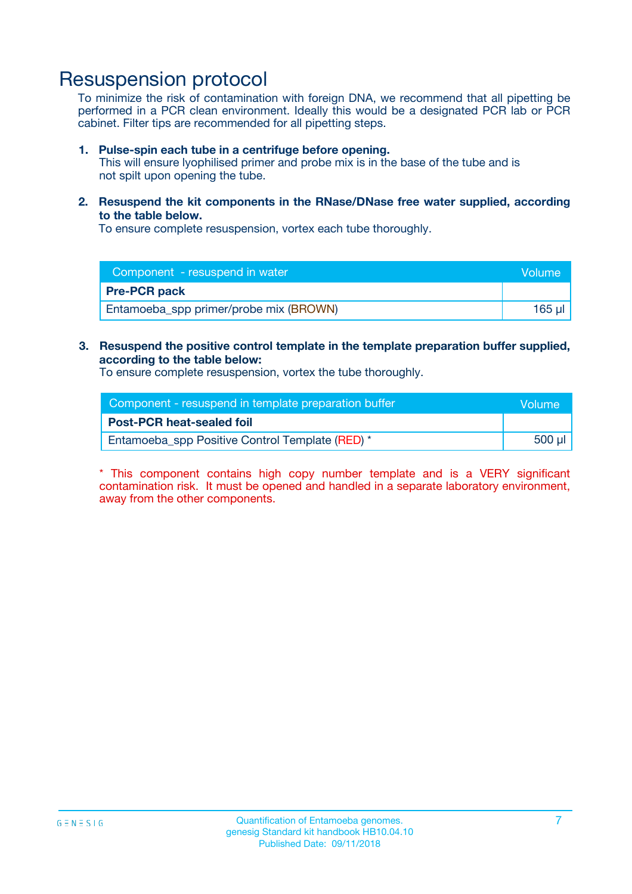## Resuspension protocol

To minimize the risk of contamination with foreign DNA, we recommend that all pipetting be performed in a PCR clean environment. Ideally this would be a designated PCR lab or PCR cabinet. Filter tips are recommended for all pipetting steps.

#### **1. Pulse-spin each tube in a centrifuge before opening.**

This will ensure lyophilised primer and probe mix is in the base of the tube and is not spilt upon opening the tube.

**2. Resuspend the kit components in the RNase/DNase free water supplied, according to the table below.**

To ensure complete resuspension, vortex each tube thoroughly.

| Component - resuspend in water         | Volume |
|----------------------------------------|--------|
| <b>Pre-PCR pack</b>                    |        |
| Entamoeba_spp primer/probe mix (BROWN) | 165 ul |

#### **3. Resuspend the positive control template in the template preparation buffer supplied, according to the table below:**

To ensure complete resuspension, vortex the tube thoroughly.

| Component - resuspend in template preparation buffer | Volume      |
|------------------------------------------------------|-------------|
| <b>Post-PCR heat-sealed foil</b>                     |             |
| Entamoeba_spp Positive Control Template (RED) *      | $500$ $\mu$ |

\* This component contains high copy number template and is a VERY significant contamination risk. It must be opened and handled in a separate laboratory environment, away from the other components.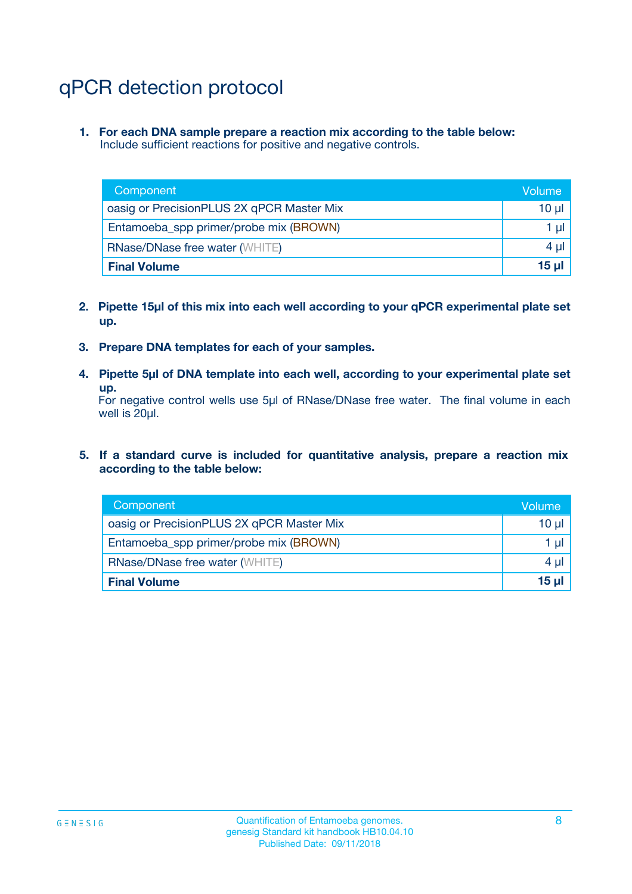# qPCR detection protocol

**1. For each DNA sample prepare a reaction mix according to the table below:** Include sufficient reactions for positive and negative controls.

| Component                                 | Volume   |
|-------------------------------------------|----------|
| oasig or PrecisionPLUS 2X qPCR Master Mix | 10 $\mu$ |
| Entamoeba_spp primer/probe mix (BROWN)    | 1 $\mu$  |
| <b>RNase/DNase free water (WHITE)</b>     | $4 \mu$  |
| <b>Final Volume</b>                       | $15 \mu$ |

- **2. Pipette 15µl of this mix into each well according to your qPCR experimental plate set up.**
- **3. Prepare DNA templates for each of your samples.**
- **4. Pipette 5µl of DNA template into each well, according to your experimental plate set up.**

For negative control wells use 5µl of RNase/DNase free water. The final volume in each well is 20µl.

**5. If a standard curve is included for quantitative analysis, prepare a reaction mix according to the table below:**

| Component                                 | Volume     |
|-------------------------------------------|------------|
| oasig or PrecisionPLUS 2X qPCR Master Mix | 10 µl      |
| Entamoeba_spp primer/probe mix (BROWN)    | 1 µI       |
| <b>RNase/DNase free water (WHITE)</b>     | $4 \mu$    |
| <b>Final Volume</b>                       | $15$ $\mu$ |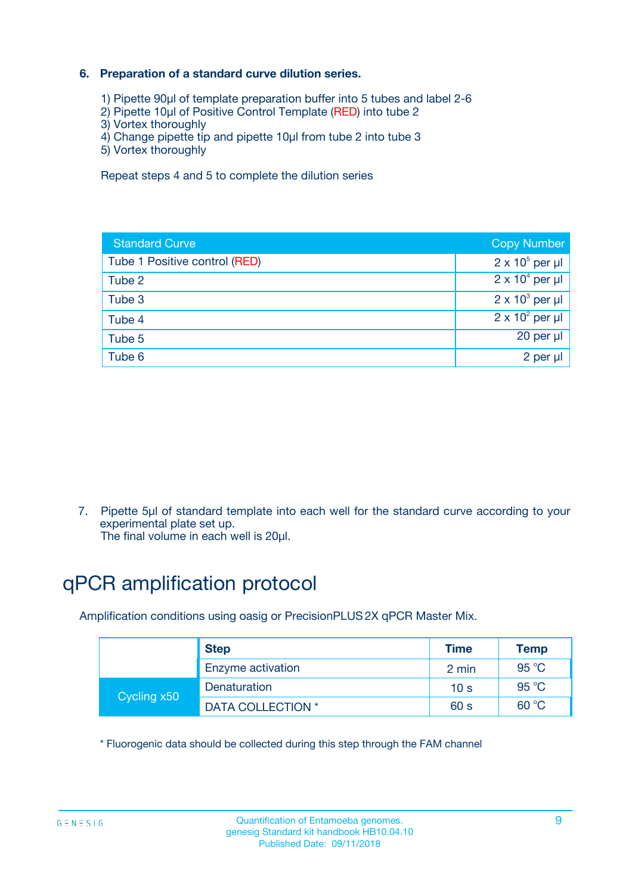### **6. Preparation of a standard curve dilution series.**

- 1) Pipette 90µl of template preparation buffer into 5 tubes and label 2-6
- 2) Pipette 10µl of Positive Control Template (RED) into tube 2
- 3) Vortex thoroughly
- 4) Change pipette tip and pipette 10µl from tube 2 into tube 3
- 5) Vortex thoroughly

Repeat steps 4 and 5 to complete the dilution series

| <b>Standard Curve</b>         | <b>Copy Number</b>     |
|-------------------------------|------------------------|
| Tube 1 Positive control (RED) | $2 \times 10^5$ per µl |
| Tube 2                        | $2 \times 10^4$ per µl |
| Tube 3                        | $2 \times 10^3$ per µl |
| Tube 4                        | $2 \times 10^2$ per µl |
| Tube 5                        | 20 per µl              |
| Tube 6                        | 2 per ul               |

7. Pipette 5µl of standard template into each well for the standard curve according to your experimental plate set up.

The final volume in each well is 20µl.

# qPCR amplification protocol

Amplification conditions using oasig or PrecisionPLUS2X qPCR Master Mix.

|             | <b>Step</b>       | <b>Time</b>     | Temp    |
|-------------|-------------------|-----------------|---------|
|             | Enzyme activation | 2 min           | 95 °C   |
| Cycling x50 | Denaturation      | 10 <sub>s</sub> | 95 $°C$ |
|             | DATA COLLECTION * | 60 s            | 60 °C   |

\* Fluorogenic data should be collected during this step through the FAM channel